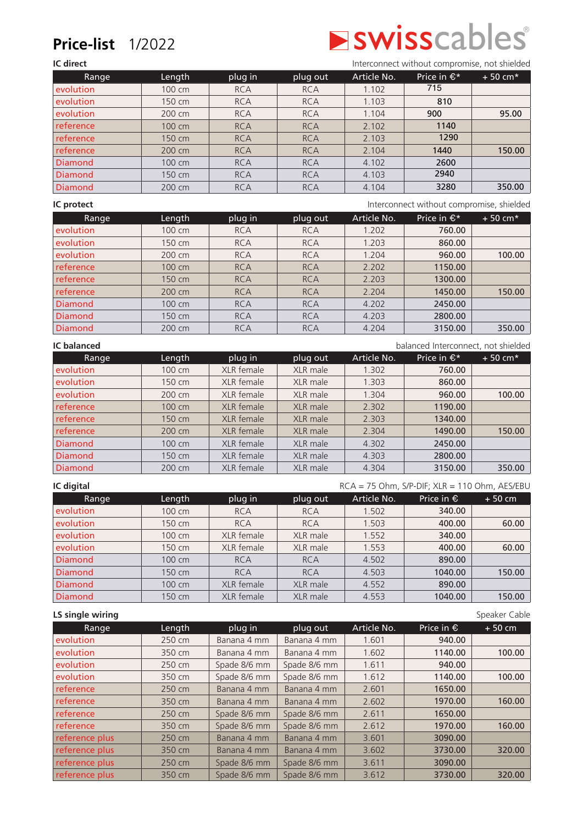## **Price-list** 1/2022

# **Swisscables**®

**IC direct** Interconnect without compromise, not shielded

| Range          | Length | plug in    | plug out   | Article No. | Price in $\epsilon^*$ | $+50$ cm <sup>*</sup> |
|----------------|--------|------------|------------|-------------|-----------------------|-----------------------|
| evolution      | 100 cm | <b>RCA</b> | <b>RCA</b> | 1.102       | 715                   |                       |
| evolution      | 150 cm | <b>RCA</b> | <b>RCA</b> | 1.103       | 810                   |                       |
| evolution      | 200 cm | <b>RCA</b> | <b>RCA</b> | 1.104       | 900                   | 95.00                 |
| reference      | 100 cm | <b>RCA</b> | <b>RCA</b> | 2.102       | 1140                  |                       |
| reference      | 150 cm | <b>RCA</b> | <b>RCA</b> | 2.103       | 1290                  |                       |
| reference      | 200 cm | <b>RCA</b> | <b>RCA</b> | 2.104       | 1440                  | 150.00                |
| <b>Diamond</b> | 100 cm | <b>RCA</b> | <b>RCA</b> | 4.102       | 2600                  |                       |
| <b>Diamond</b> | 150 cm | <b>RCA</b> | <b>RCA</b> | 4.103       | 2940                  |                       |
| <b>Diamond</b> | 200 cm | <b>RCA</b> | <b>RCA</b> | 4.104       | 3280                  | 350.00                |

**IC protect** Interconnect without compromise, shielded

| Range          | Length | plug in    | plug out   | Article No. | Price in $\epsilon^*$ | $+50$ cm* |
|----------------|--------|------------|------------|-------------|-----------------------|-----------|
| evolution      | 100 cm | <b>RCA</b> | <b>RCA</b> | 1.202       | 760.00                |           |
| evolution      | 150 cm | <b>RCA</b> | <b>RCA</b> | 1.203       | 860.00                |           |
| evolution      | 200 cm | <b>RCA</b> | <b>RCA</b> | 1.204       | 960.00                | 100.00    |
| reference      | 100 cm | <b>RCA</b> | <b>RCA</b> | 2.202       | 1150.00               |           |
| reference      | 150 cm | <b>RCA</b> | <b>RCA</b> | 2.203       | 1300.00               |           |
| reference      | 200 cm | <b>RCA</b> | <b>RCA</b> | 2.204       | 1450.00               | 150.00    |
| <b>Diamond</b> | 100 cm | <b>RCA</b> | <b>RCA</b> | 4.202       | 2450.00               |           |
| <b>Diamond</b> | 150 cm | <b>RCA</b> | <b>RCA</b> | 4.203       | 2800.00               |           |
| <b>Diamond</b> | 200 cm | <b>RCA</b> | <b>RCA</b> | 4.204       | 3150.00               | 350.00    |

| <b>IC</b> balanced<br>balanced Interconnect, not shielded |        |            |          |             |                       |           |
|-----------------------------------------------------------|--------|------------|----------|-------------|-----------------------|-----------|
| Range                                                     | Length | plug in    | plug out | Article No. | Price in $\epsilon^*$ | $+50$ cm* |
| evolution                                                 | 100 cm | XLR female | XLR male | 1.302       | 760.00                |           |
| evolution                                                 | 150 cm | XLR female | XLR male | 1.303       | 860.00                |           |
| evolution                                                 | 200 cm | XLR female | XLR male | 1.304       | 960.00                | 100.00    |
| reference                                                 | 100 cm | XLR female | XLR male | 2.302       | 1190.00               |           |
| reference                                                 | 150 cm | XLR female | XLR male | 2.303       | 1340.00               |           |
| reference                                                 | 200 cm | XLR female | XLR male | 2.304       | 1490.00               | 150.00    |
| <b>Diamond</b>                                            | 100 cm | XLR female | XLR male | 4.302       | 2450.00               |           |
| <b>Diamond</b>                                            | 150 cm | XLR female | XLR male | 4.303       | 2800.00               |           |
| <b>Diamond</b>                                            | 200 cm | XLR female | XLR male | 4.304       | 3150.00               | 350.00    |

| IC digital     |        |            |            |             | $RCA = 75$ Ohm, S/P-DIF; $XLR = 110$ Ohm, AES/EBU |          |
|----------------|--------|------------|------------|-------------|---------------------------------------------------|----------|
| Range          | Length | plug in    | plug out   | Article No. | Price in $\epsilon$                               | $+50$ cm |
| evolution      | 100 cm | <b>RCA</b> | <b>RCA</b> | 1.502       | 340.00                                            |          |
| evolution      | 150 cm | <b>RCA</b> | <b>RCA</b> | 1.503       | 400.00                                            | 60.00    |
| evolution      | 100 cm | XLR female | XLR male   | 1.552       | 340.00                                            |          |
| evolution      | 150 cm | XLR female | XLR male   | 1.553       | 400.00                                            | 60.00    |
| Diamond        | 100 cm | <b>RCA</b> | <b>RCA</b> | 4.502       | 890.00                                            |          |
| <b>Diamond</b> | 150 cm | <b>RCA</b> | <b>RCA</b> | 4.503       | 1040.00                                           | 150.00   |
| <b>Diamond</b> | 100 cm | XLR female | XLR male   | 4.552       | 890.00                                            |          |
| Diamond        | 150 cm | XLR female | XLR male   | 4.553       | 1040.00                                           | 150.00   |

| LS single wiring |        |              |              |             |                     | Speaker Cable |
|------------------|--------|--------------|--------------|-------------|---------------------|---------------|
| Range            | Length | plug in      | plug out     | Article No. | Price in $\epsilon$ | $+50$ cm      |
| evolution        | 250 cm | Banana 4 mm  | Banana 4 mm  | 1.601       | 940.00              |               |
| evolution        | 350 cm | Banana 4 mm  | Banana 4 mm  | 1.602       | 1140.00             | 100.00        |
| evolution        | 250 cm | Spade 8/6 mm | Spade 8/6 mm | 1.611       | 940.00              |               |
| evolution        | 350 cm | Spade 8/6 mm | Spade 8/6 mm | 1.612       | 1140.00             | 100.00        |
| reference        | 250 cm | Banana 4 mm  | Banana 4 mm  | 2.601       | 1650.00             |               |
| reference        | 350 cm | Banana 4 mm  | Banana 4 mm  | 2.602       | 1970.00             | 160.00        |
| reference        | 250 cm | Spade 8/6 mm | Spade 8/6 mm | 2.611       | 1650.00             |               |
| reference        | 350 cm | Spade 8/6 mm | Spade 8/6 mm | 2.612       | 1970.00             | 160.00        |
| reference plus   | 250 cm | Banana 4 mm  | Banana 4 mm  | 3.601       | 3090.00             |               |
| reference plus   | 350 cm | Banana 4 mm  | Banana 4 mm  | 3.602       | 3730.00             | 320.00        |
| reference plus   | 250 cm | Spade 8/6 mm | Spade 8/6 mm | 3.611       | 3090.00             |               |
| reference plus   | 350 cm | Spade 8/6 mm | Spade 8/6 mm | 3.612       | 3730.00             | 320,00        |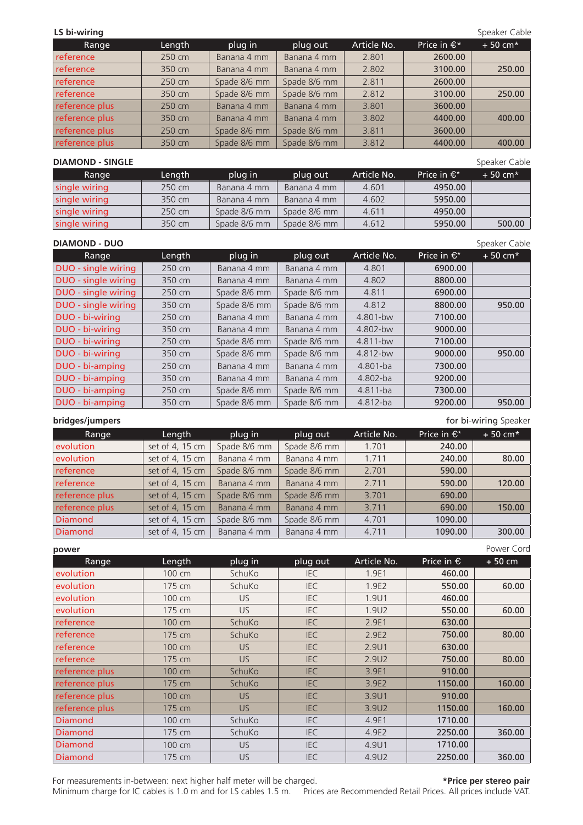## **LS bi-wiring** Speaker Cable **Cable 2018** Speaker Cable 3. Speaker Cable 3. Speaker Cable 3. Speaker Cable 3. Speaker Cable 3. Speaker Cable 3. Speaker Cable 3. Speaker Cable 3. Speaker Cable 3. Speaker Cable 3. Speaker Ca

| Range          | Length | plug in      | plug out     | Article No. | Price in $\epsilon^*$ | $+50$ cm* |
|----------------|--------|--------------|--------------|-------------|-----------------------|-----------|
| reference      | 250 cm | Banana 4 mm  | Banana 4 mm  | 2.801       | 2600.00               |           |
| reference      | 350 cm | Banana 4 mm  | Banana 4 mm  | 2.802       | 3100.00               | 250.00    |
| reference      | 250 cm | Spade 8/6 mm | Spade 8/6 mm | 2.811       | 2600.00               |           |
| reference      | 350 cm | Spade 8/6 mm | Spade 8/6 mm | 2.812       | 3100.00               | 250.00    |
| reference plus | 250 cm | Banana 4 mm  | Banana 4 mm  | 3.801       | 3600.00               |           |
| reference plus | 350 cm | Banana 4 mm  | Banana 4 mm  | 3.802       | 4400.00               | 400.00    |
| reference plus | 250 cm | Spade 8/6 mm | Spade 8/6 mm | 3.811       | 3600.00               |           |
| reference plus | 350 cm | Spade 8/6 mm | Spade 8/6 mm | 3.812       | 4400.00               | 400.00    |

### **DIAMOND - SINGLE** Speaker Cable

Range Length plug in plug out Article No. Price in €\* + 50 cm\*  $\vert$  single wiring  $\vert$  250 cm  $\vert$  Banana 4 mm  $\vert$  Banana 4 mm  $\vert$  4.601  $\vert$  4950.00 single wiring  $\vert$  350 cm  $\vert$  Banana 4 mm  $\vert$  Banana 4 mm  $\vert$  4.602  $\vert$  5950.00 single wiring 250 cm  $\frac{1}{250 \text{ cm}}$  Spade 8/6 mm  $\frac{250 \text{ cm}}{250 \text{ cm}}$  5pade 8/6 mm  $\frac{4.611}{4.611}$  4950.00  $\vert$  single wiring  $\vert$  350 cm  $\vert$  Spade 8/6 mm  $\vert$  Spade 8/6 mm  $\vert$  4.612  $\vert$  5950.00  $\vert$  500.00

## **DIAMOND - DUO** Speaker Cable

| Range               | Length | plug in      | plug out     | Article No. | Price in $\epsilon^*$ | $+50$ cm* |
|---------------------|--------|--------------|--------------|-------------|-----------------------|-----------|
| DUO - single wiring | 250 cm | Banana 4 mm  | Banana 4 mm  | 4.801       | 6900.00               |           |
| DUO - single wiring | 350 cm | Banana 4 mm  | Banana 4 mm  | 4.802       | 8800.00               |           |
| DUO - single wiring | 250 cm | Spade 8/6 mm | Spade 8/6 mm | 4.811       | 6900.00               |           |
| DUO - single wiring | 350 cm | Spade 8/6 mm | Spade 8/6 mm | 4.812       | 8800.00               | 950.00    |
| DUO - bi-wiring     | 250 cm | Banana 4 mm  | Banana 4 mm  | 4.801-bw    | 7100.00               |           |
| DUO - bi-wiring     | 350 cm | Banana 4 mm  | Banana 4 mm  | 4.802-bw    | 9000.00               |           |
| DUO - bi-wiring     | 250 cm | Spade 8/6 mm | Spade 8/6 mm | 4.811-bw    | 7100.00               |           |
| DUO - bi-wiring     | 350 cm | Spade 8/6 mm | Spade 8/6 mm | 4.812-bw    | 9000.00               | 950.00    |
| DUO - bi-amping     | 250 cm | Banana 4 mm  | Banana 4 mm  | 4.801-ba    | 7300.00               |           |
| DUO - bi-amping     | 350 cm | Banana 4 mm  | Banana 4 mm  | 4.802-ba    | 9200.00               |           |
| DUO - bi-amping     | 250 cm | Spade 8/6 mm | Spade 8/6 mm | 4.811-ba    | 7300.00               |           |
| DUO - bi-amping     | 350 cm | Spade 8/6 mm | Spade 8/6 mm | 4.812-ba    | 9200.00               | 950.00    |

**bridges/jumpers** for bi-wiring Speaker

| Range          | Length          | plug in      | plug out     | Article No. | Price in $\epsilon^*$ | $+50$ cm* |
|----------------|-----------------|--------------|--------------|-------------|-----------------------|-----------|
| evolution      | set of 4, 15 cm | Spade 8/6 mm | Spade 8/6 mm | 1.701       | 240.00                |           |
| evolution      | set of 4, 15 cm | Banana 4 mm  | Banana 4 mm  | 1.711       | 240.00                | 80.00     |
| reference      | set of 4, 15 cm | Spade 8/6 mm | Spade 8/6 mm | 2.701       | 590.00                |           |
| reference      | set of 4, 15 cm | Banana 4 mm  | Banana 4 mm  | 2.711       | 590.00                | 120.00    |
| reference plus | set of 4, 15 cm | Spade 8/6 mm | Spade 8/6 mm | 3.701       | 690.00                |           |
| reference plus | set of 4, 15 cm | Banana 4 mm  | Banana 4 mm  | 3.711       | 690.00                | 150.00    |
| Diamond        | set of 4, 15 cm | Spade 8/6 mm | Spade 8/6 mm | 4.701       | 1090.00               |           |
| Diamond        | set of 4, 15 cm | Banana 4 mm  | Banana 4 mm  | 4.711       | 1090.00               | 300.00    |

**power** Power Cord Range Length plug in plug out Article No. Price in € + 50 cm evolution | 100 cm | SchuKo | IEC | 1.9E1 | **460.00** evolution | 175 cm | SchuKo | IEC | 1.9E2 | **550.00** | **60.00** evolution | 100 cm | US | IEC | 1.9U1 | **460.00** evolution | 175 cm | US | IEC | 1.9U2 | **550.00** | **60.00** reference | 100 cm | SchuKo | IEC | 2.9E1 | **630.00** reference | 175 cm | SchuKo | IEC | 2.9E2 | 750.00 | 80.00 reference | 100 cm | US | IEC | 2.9U1 | **630.00** reference | 175 cm | US | IEC | 2.9U2 | **750.00** | **80.00** reference plus 100 cm SchuKo IEC 3.9E1 910.00 reference plus | 175 cm | SchuKo | IEC | 3.9E2 | 1150.00 | 160.00 **reference plus** | 100 cm | US | IEC | 3.9U1 | 910.00 reference plus | 175 cm | US | IEC | 3.9U2 | 1150.00 | 160.00 Diamond 100 cm SchuKo IEC 4.9E1 1710.00 Diamond 175 cm SchuKo IEC 4.9E2 2250.00 360.00 Diamond 100 cm US IEC 4.9U1 1710.00 Diamond 175 cm US IEC 4.9U2 2250.00 360.00

For measurements in-between: next higher half meter will be charged. **\*Price per stereo pair**

Minimum charge for IC cables is 1.0 m and for LS cables 1.5 m. Prices are Recommended Retail Prices. All prices include VAT.